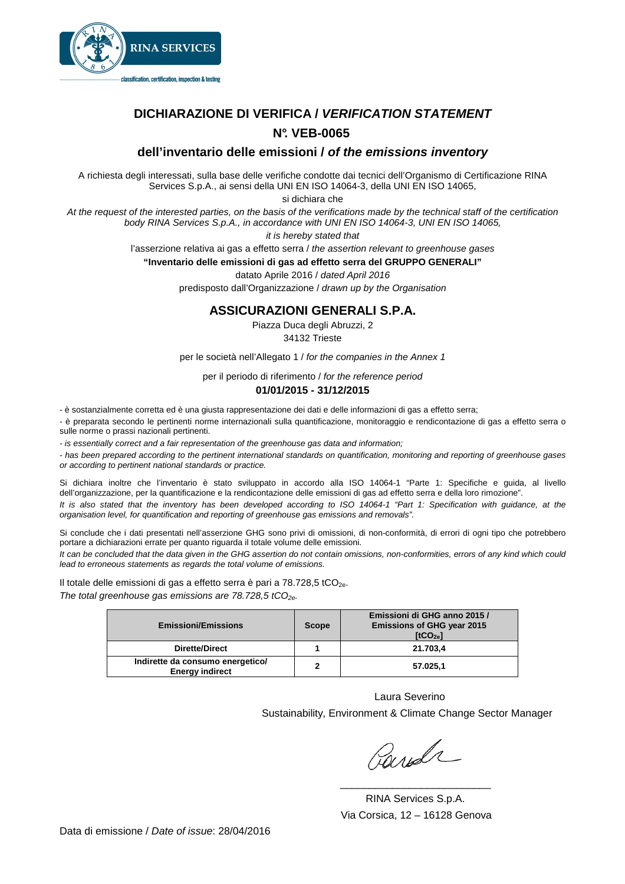

# **DICHIARAZIONE DI VERIFICA / VERIFICATION STATEMENT N°. VEB-0065**

## **dell'inventario delle emissioni / of the emissions inventory**

A richiesta degli interessati, sulla base delle verifiche condotte dai tecnici dell'Organismo di Certificazione RINA Services S.p.A., ai sensi della UNI EN ISO 14064-3, della UNI EN ISO 14065,

si dichiara che

At the request of the interested parties, on the basis of the verifications made by the technical staff of the certification body RINA Services S.p.A., in accordance with UNI EN ISO 14064-3, UNI EN ISO 14065,

it is hereby stated that

l'asserzione relativa ai gas a effetto serra / the assertion relevant to greenhouse gases

**"Inventario delle emissioni di gas ad effetto serra del GRUPPO GENERALI"** 

datato Aprile 2016 / dated April 2016

predisposto dall'Organizzazione / drawn up by the Organisation

### **ASSICURAZIONI GENERALI S.P.A.**

Piazza Duca degli Abruzzi, 2

34132 Trieste

per le società nell'Allegato 1 / for the companies in the Annex 1

per il periodo di riferimento / for the reference period

#### **01/01/2015 - 31/12/2015**

- è sostanzialmente corretta ed è una giusta rappresentazione dei dati e delle informazioni di gas a effetto serra;

- è preparata secondo le pertinenti norme internazionali sulla quantificazione, monitoraggio e rendicontazione di gas a effetto serra o sulle norme o prassi nazionali pertinenti.

- is essentially correct and a fair representation of the greenhouse gas data and information;

- has been prepared according to the pertinent international standards on quantification, monitoring and reporting of greenhouse gases or according to pertinent national standards or practice.

Si dichiara inoltre che l'inventario è stato sviluppato in accordo alla ISO 14064-1 "Parte 1: Specifiche e guida, al livello dell'organizzazione, per la quantificazione e la rendicontazione delle emissioni di gas ad effetto serra e della loro rimozione".

It is also stated that the inventory has been developed according to ISO 14064-1 "Part 1: Specification with guidance, at the organisation level, for quantification and reporting of greenhouse gas emissions and removals".

Si conclude che i dati presentati nell'asserzione GHG sono privi di omissioni, di non-conformità, di errori di ogni tipo che potrebbero portare a dichiarazioni errate per quanto riguarda il totale volume delle emissioni.

It can be concluded that the data given in the GHG assertion do not contain omissions, non-conformities, errors of any kind which could lead to erroneous statements as regards the total volume of emissions.

Il totale delle emissioni di gas a effetto serra è pari a  $78.728.5$  tCO<sub>2e</sub>. The total greenhouse gas emissions are 78.728,5 tCO<sub>2e</sub>.

| <b>Emissioni/Emissions</b>                                 | <b>Scope</b> | Emissioni di GHG anno 2015 /<br><b>Emissions of GHG year 2015</b><br>[tCO <sub>2e</sub> ] |
|------------------------------------------------------------|--------------|-------------------------------------------------------------------------------------------|
| <b>Dirette/Direct</b>                                      |              | 21.703.4                                                                                  |
| Indirette da consumo energetico/<br><b>Energy indirect</b> | $\mathbf{2}$ | 57.025.1                                                                                  |

 Laura Severino Sustainability, Environment & Climate Change Sector Manager

Pards

 RINA Services S.p.A. Via Corsica, 12 – 16128 Genova

 $\frac{1}{\sqrt{2}}$  ,  $\frac{1}{\sqrt{2}}$  ,  $\frac{1}{\sqrt{2}}$  ,  $\frac{1}{\sqrt{2}}$  ,  $\frac{1}{\sqrt{2}}$  ,  $\frac{1}{\sqrt{2}}$  ,  $\frac{1}{\sqrt{2}}$  ,  $\frac{1}{\sqrt{2}}$  ,  $\frac{1}{\sqrt{2}}$  ,  $\frac{1}{\sqrt{2}}$  ,  $\frac{1}{\sqrt{2}}$  ,  $\frac{1}{\sqrt{2}}$  ,  $\frac{1}{\sqrt{2}}$  ,  $\frac{1}{\sqrt{2}}$  ,  $\frac{1}{\sqrt{2}}$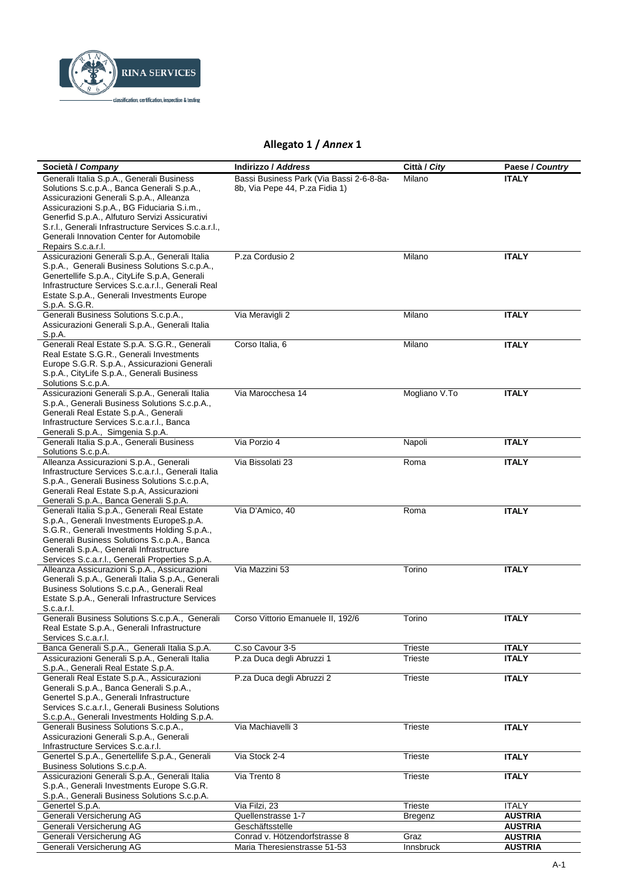

## Allegato 1 / Annex 1

| Società / Company                                                                              | <b>Indirizzo / Address</b>               | Città / City   | Paese / Country |
|------------------------------------------------------------------------------------------------|------------------------------------------|----------------|-----------------|
| Generali Italia S.p.A., Generali Business                                                      | Bassi Business Park (Via Bassi 2-6-8-8a- | Milano         | <b>ITALY</b>    |
| Solutions S.c.p.A., Banca Generali S.p.A.,                                                     | 8b, Via Pepe 44, P.za Fidia 1)           |                |                 |
| Assicurazioni Generali S.p.A., Alleanza                                                        |                                          |                |                 |
| Assicurazioni S.p.A., BG Fiduciaria S.i.m.,                                                    |                                          |                |                 |
| Generfid S.p.A., Alfuturo Servizi Assicurativi                                                 |                                          |                |                 |
| S.r.l., Generali Infrastructure Services S.c.a.r.l.,                                           |                                          |                |                 |
| Generali Innovation Center for Automobile                                                      |                                          |                |                 |
| Repairs S.c.a.r.l.                                                                             |                                          |                |                 |
| Assicurazioni Generali S.p.A., Generali Italia                                                 | P.za Cordusio 2                          | Milano         | <b>ITALY</b>    |
| S.p.A., Generali Business Solutions S.c.p.A.,<br>Genertellife S.p.A., CityLife S.p.A, Generali |                                          |                |                 |
| Infrastructure Services S.c.a.r.l., Generali Real                                              |                                          |                |                 |
| Estate S.p.A., Generali Investments Europe                                                     |                                          |                |                 |
| S.p.A. S.G.R.                                                                                  |                                          |                |                 |
| Generali Business Solutions S.c.p.A.,                                                          | Via Meravigli 2                          | Milano         | <b>ITALY</b>    |
| Assicurazioni Generali S.p.A., Generali Italia                                                 |                                          |                |                 |
| S.p.A.                                                                                         |                                          |                |                 |
| Generali Real Estate S.p.A. S.G.R., Generali                                                   | Corso Italia, 6                          | Milano         | <b>ITALY</b>    |
| Real Estate S.G.R., Generali Investments                                                       |                                          |                |                 |
| Europe S.G.R. S.p.A., Assicurazioni Generali                                                   |                                          |                |                 |
| S.p.A., CityLife S.p.A., Generali Business                                                     |                                          |                |                 |
| Solutions S.c.p.A.<br>Assicurazioni Generali S.p.A., Generali Italia                           | Via Marocchesa 14                        | Mogliano V.To  | <b>ITALY</b>    |
| S.p.A., Generali Business Solutions S.c.p.A.,                                                  |                                          |                |                 |
| Generali Real Estate S.p.A., Generali                                                          |                                          |                |                 |
| Infrastructure Services S.c.a.r.l., Banca                                                      |                                          |                |                 |
| Generali S.p.A., Simgenia S.p.A.                                                               |                                          |                |                 |
| Generali Italia S.p.A., Generali Business                                                      | Via Porzio 4                             | Napoli         | <b>ITALY</b>    |
| Solutions S.c.p.A.                                                                             |                                          |                |                 |
| Alleanza Assicurazioni S.p.A., Generali                                                        | Via Bissolati 23                         | Roma           | <b>ITALY</b>    |
| Infrastructure Services S.c.a.r.l., Generali Italia                                            |                                          |                |                 |
| S.p.A., Generali Business Solutions S.c.p.A,                                                   |                                          |                |                 |
| Generali Real Estate S.p.A, Assicurazioni<br>Generali S.p.A., Banca Generali S.p.A.            |                                          |                |                 |
| Generali Italia S.p.A., Generali Real Estate                                                   | Via D'Amico, 40                          | Roma           | <b>ITALY</b>    |
| S.p.A., Generali Investments EuropeS.p.A.                                                      |                                          |                |                 |
| S.G.R., Generali Investments Holding S.p.A.,                                                   |                                          |                |                 |
| Generali Business Solutions S.c.p.A., Banca                                                    |                                          |                |                 |
| Generali S.p.A., Generali Infrastructure                                                       |                                          |                |                 |
| Services S.c.a.r.l., Generali Properties S.p.A.                                                |                                          |                |                 |
| Alleanza Assicurazioni S.p.A., Assicurazioni                                                   | Via Mazzini 53                           | Torino         | <b>ITALY</b>    |
| Generali S.p.A., Generali Italia S.p.A., Generali                                              |                                          |                |                 |
| Business Solutions S.c.p.A., Generali Real                                                     |                                          |                |                 |
| Estate S.p.A., Generali Infrastructure Services<br>S.c.a.r.l.                                  |                                          |                |                 |
| Generali Business Solutions S.c.p.A., Generali                                                 | Corso Vittorio Emanuele II, 192/6        | Torino         | <b>ITALY</b>    |
| Real Estate S.p.A., Generali Infrastructure                                                    |                                          |                |                 |
| Services S.c.a.r.l.                                                                            |                                          |                |                 |
| Banca Generali S.p.A., Generali Italia S.p.A.                                                  | C.so Cavour 3-5                          | Trieste        | <b>ITALY</b>    |
| Assicurazioni Generali S.p.A., Generali Italia                                                 | P.za Duca degli Abruzzi 1                | Trieste        | <b>ITALY</b>    |
| S.p.A., Generali Real Estate S.p.A.                                                            |                                          |                |                 |
| Generali Real Estate S.p.A., Assicurazioni                                                     | P.za Duca degli Abruzzi 2                | <b>Trieste</b> | <b>ITALY</b>    |
| Generali S.p.A., Banca Generali S.p.A.,                                                        |                                          |                |                 |
| Genertel S.p.A., Generali Infrastructure                                                       |                                          |                |                 |
| Services S.c.a.r.l., Generali Business Solutions                                               |                                          |                |                 |
| S.c.p.A., Generali Investments Holding S.p.A.<br>Generali Business Solutions S.c.p.A.,         | Via Machiavelli 3                        | Trieste        | <b>ITALY</b>    |
| Assicurazioni Generali S.p.A., Generali                                                        |                                          |                |                 |
| Infrastructure Services S.c.a.r.l.                                                             |                                          |                |                 |
| Genertel S.p.A., Genertellife S.p.A., Generali                                                 | Via Stock 2-4                            | Trieste        | <b>ITALY</b>    |
| Business Solutions S.c.p.A.                                                                    |                                          |                |                 |
| Assicurazioni Generali S.p.A., Generali Italia                                                 | Via Trento 8                             | Trieste        | <b>ITALY</b>    |
| S.p.A., Generali Investments Europe S.G.R.                                                     |                                          |                |                 |
| S.p.A., Generali Business Solutions S.c.p.A.                                                   |                                          |                |                 |
| Genertel S.p.A.                                                                                | Via Filzi, 23                            | Trieste        | ITALY           |
| Generali Versicherung AG                                                                       | Quellenstrasse 1-7                       | Bregenz        | <b>AUSTRIA</b>  |
| Generali Versicherung AG                                                                       | Geschäftsstelle                          |                | <b>AUSTRIA</b>  |
| Generali Versicherung AG                                                                       | Conrad v. Hötzendorfstrasse 8            | Graz           | <b>AUSTRIA</b>  |
| Generali Versicherung AG                                                                       | Maria Theresienstrasse 51-53             | Innsbruck      | <b>AUSTRIA</b>  |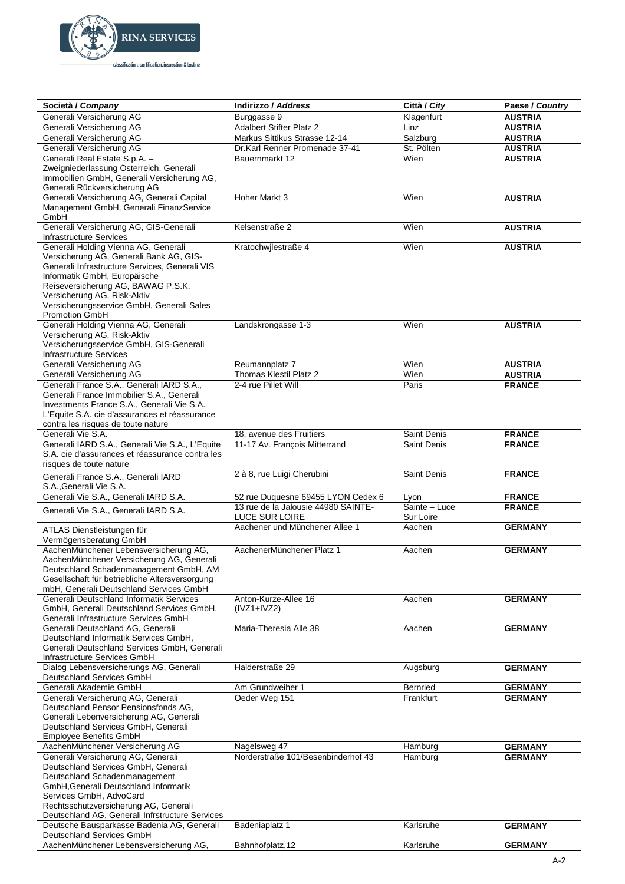

| Società / Company                                                                                                                                                                                                                                                                                             | <b>Indirizzo / Address</b>                                   | Città / City               | Paese / Country                  |
|---------------------------------------------------------------------------------------------------------------------------------------------------------------------------------------------------------------------------------------------------------------------------------------------------------------|--------------------------------------------------------------|----------------------------|----------------------------------|
| Generali Versicherung AG                                                                                                                                                                                                                                                                                      | Burggasse 9                                                  | Klagenfurt                 | <b>AUSTRIA</b>                   |
| Generali Versicherung AG                                                                                                                                                                                                                                                                                      | <b>Adalbert Stifter Platz 2</b>                              | Linz                       | <b>AUSTRIA</b>                   |
| Generali Versicherung AG                                                                                                                                                                                                                                                                                      | Markus Sittikus Strasse 12-14                                | Salzburg                   | <b>AUSTRIA</b>                   |
| Generali Versicherung AG                                                                                                                                                                                                                                                                                      | Dr.Karl Renner Promenade 37-41                               | St. Pölten                 | <b>AUSTRIA</b>                   |
| Generali Real Estate S.p.A. -<br>Zweigniederlassung Österreich, Generali<br>Immobilien GmbH, Generali Versicherung AG,<br>Generali Rückversicherung AG                                                                                                                                                        | Bauernmarkt 12                                               | Wien                       | <b>AUSTRIA</b>                   |
| Generali Versicherung AG, Generali Capital<br>Management GmbH, Generali FinanzService<br>GmbH                                                                                                                                                                                                                 | Hoher Markt 3                                                | Wien                       | <b>AUSTRIA</b>                   |
| Generali Versicherung AG, GIS-Generali<br><b>Infrastructure Services</b>                                                                                                                                                                                                                                      | Kelsenstraße 2                                               | Wien                       | <b>AUSTRIA</b>                   |
| Generali Holding Vienna AG, Generali<br>Versicherung AG, Generali Bank AG, GIS-<br>Generali Infrastructure Services, Generali VIS<br>Informatik GmbH, Europäische<br>Reiseversicherung AG, BAWAG P.S.K.<br>Versicherung AG, Risk-Aktiv<br>Versicherungsservice GmbH, Generali Sales<br>Promotion GmbH         | Kratochwjlestraße 4                                          | Wien                       | <b>AUSTRIA</b>                   |
| Generali Holding Vienna AG, Generali<br>Versicherung AG, Risk-Aktiv<br>Versicherungsservice GmbH, GIS-Generali<br><b>Infrastructure Services</b>                                                                                                                                                              | Landskrongasse 1-3                                           | Wien                       | <b>AUSTRIA</b>                   |
| Generali Versicherung AG                                                                                                                                                                                                                                                                                      | Reumannplatz 7                                               | Wien                       | <b>AUSTRIA</b>                   |
| Generali Versicherung AG                                                                                                                                                                                                                                                                                      | Thomas Klestil Platz 2                                       | Wien                       | <b>AUSTRIA</b>                   |
| Generali France S.A., Generali IARD S.A.,<br>Generali France Immobilier S.A., Generali<br>Investments France S.A., Generali Vie S.A.<br>L'Equite S.A. cie d'assurances et réassurance<br>contra les risques de toute nature                                                                                   | 2-4 rue Pillet Will                                          | Paris                      | <b>FRANCE</b>                    |
| Generali Vie S.A.                                                                                                                                                                                                                                                                                             | 18, avenue des Fruitiers                                     | <b>Saint Denis</b>         | <b>FRANCE</b>                    |
| Generali IARD S.A., Generali Vie S.A., L'Equite<br>S.A. cie d'assurances et réassurance contra les<br>risques de toute nature                                                                                                                                                                                 | 11-17 Av. François Mitterrand                                | Saint Denis                | <b>FRANCE</b>                    |
| Generali France S.A., Generali IARD<br>S.A., Generali Vie S.A.                                                                                                                                                                                                                                                | 2 à 8, rue Luigi Cherubini                                   | <b>Saint Denis</b>         | <b>FRANCE</b>                    |
| Generali Vie S.A., Generali IARD S.A.                                                                                                                                                                                                                                                                         | 52 rue Duquesne 69455 LYON Cedex 6                           | Lyon                       | <b>FRANCE</b>                    |
| Generali Vie S.A., Generali IARD S.A.                                                                                                                                                                                                                                                                         | 13 rue de la Jalousie 44980 SAINTE-<br><b>LUCE SUR LOIRE</b> | Sainte - Luce<br>Sur Loire | <b>FRANCE</b>                    |
| ATLAS Dienstleistungen für<br>Vermögensberatung GmbH                                                                                                                                                                                                                                                          | Aachener und Münchener Allee 1                               | Aachen                     | <b>GERMANY</b>                   |
| AachenMünchener Lebensversicherung AG,<br>AachenMünchener Versicherung AG, Generali<br>Deutschland Schadenmanagement GmbH, AM<br>Gesellschaft für betriebliche Altersversorgung<br>mbH, Generali Deutschland Services GmbH                                                                                    | AachenerMünchener Platz 1                                    | Aachen                     | <b>GERMANY</b>                   |
| Generali Deutschland Informatik Services<br>GmbH, Generali Deutschland Services GmbH,<br>Generali Infrastructure Services GmbH                                                                                                                                                                                | Anton-Kurze-Allee 16<br>$(IVZ1+IVZ2)$                        | Aachen                     | <b>GERMANY</b>                   |
| Generali Deutschland AG, Generali<br>Deutschland Informatik Services GmbH,<br>Generali Deutschland Services GmbH, Generali<br>Infrastructure Services GmbH                                                                                                                                                    | Maria-Theresia Alle 38                                       | Aachen                     | <b>GERMANY</b>                   |
| Dialog Lebensversicherungs AG, Generali<br>Deutschland Services GmbH                                                                                                                                                                                                                                          | Halderstraße 29                                              | Augsburg                   | <b>GERMANY</b>                   |
| Generali Akademie GmbH                                                                                                                                                                                                                                                                                        | Am Grundweiher 1                                             | Bernried                   | <b>GERMANY</b>                   |
| Generali Versicherung AG, Generali<br>Deutschland Pensor Pensionsfonds AG,<br>Generali Lebenversicherung AG, Generali<br>Deutschland Services GmbH, Generali<br>Employee Benefits GmbH                                                                                                                        | Oeder Weg 151                                                | Frankfurt                  | <b>GERMANY</b>                   |
| AachenMünchener Versicherung AG<br>Generali Versicherung AG, Generali<br>Deutschland Services GmbH, Generali<br>Deutschland Schadenmanagement<br>GmbH, Generali Deutschland Informatik<br>Services GmbH, AdvoCard<br>Rechtsschutzversicherung AG, Generali<br>Deutschland AG, Generali Infrstructure Services | Nagelsweg 47<br>Norderstraße 101/Besenbinderhof 43           | Hamburg<br>Hamburg         | <b>GERMANY</b><br><b>GERMANY</b> |
| Deutsche Bausparkasse Badenia AG, Generali<br>Deutschland Services GmbH                                                                                                                                                                                                                                       | Badeniaplatz 1                                               | Karlsruhe                  | <b>GERMANY</b>                   |
| AachenMünchener Lebensversicherung AG,                                                                                                                                                                                                                                                                        | Bahnhofplatz, 12                                             | Karlsruhe                  | <b>GERMANY</b>                   |